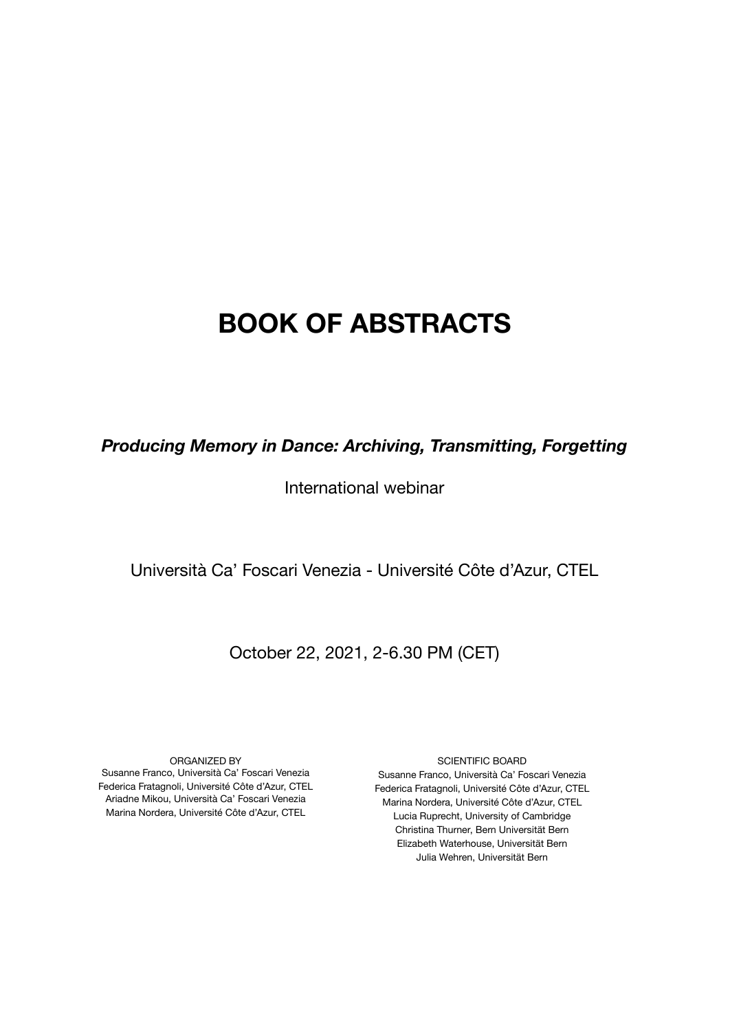## **BOOK OF ABSTRACTS**

*Producing Memory in Dance: Archiving, Transmitting, Forgetting*

International webinar

Università Ca' Foscari Venezia - Université Côte d'Azur, CTEL

### October 22, 2021, 2-6.30 PM (CET)

ORGANIZED BY Susanne Franco, Università Ca' Foscari Venezia Federica Fratagnoli, Université Côte d'Azur, CTEL Ariadne Mikou, Università Ca' Foscari Venezia Marina Nordera, Université Côte d'Azur, CTEL

SCIENTIFIC BOARD Susanne Franco, Università Ca' Foscari Venezia Federica Fratagnoli, Université Côte d'Azur, CTEL Marina Nordera, Université Côte d'Azur, CTEL Lucia Ruprecht, University of Cambridge Christina Thurner, Bern Universität Bern Elizabeth Waterhouse, Universität Bern Julia Wehren, Universität Bern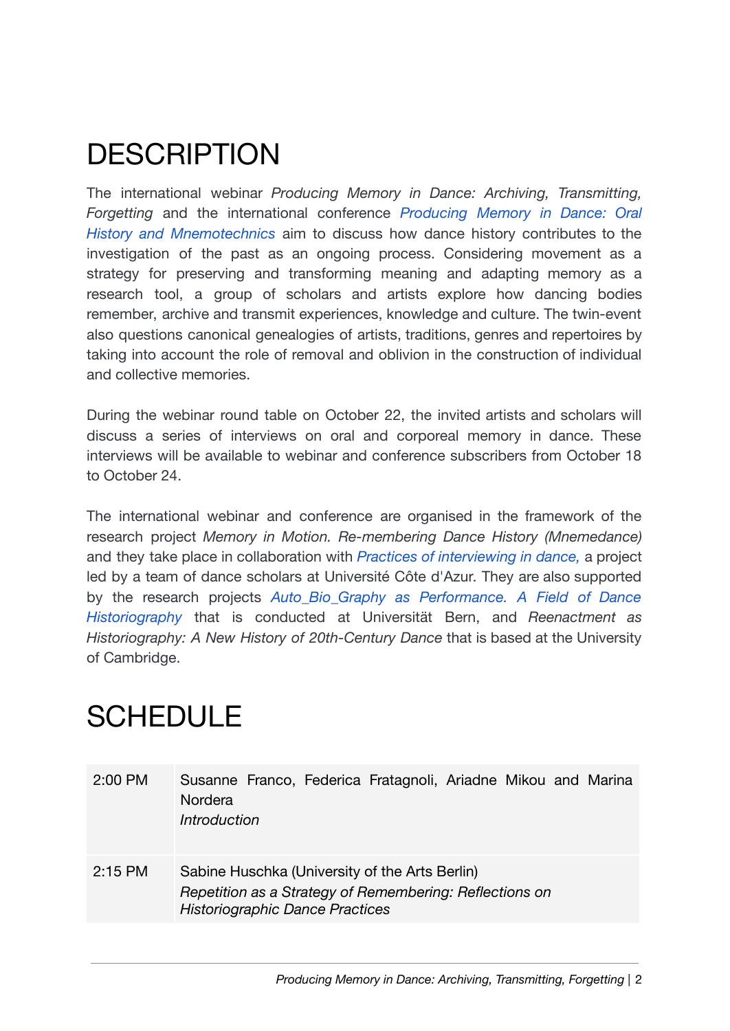# **DESCRIPTION**

The international webinar *Producing Memory in Dance: Archiving, Transmitting, Forgetting* and the international conference *[Producing](https://editor.wix.com/html/editor/web/renderer/render/document/59930056-9d73-4fc8-aa5a-c48206264693/producing-memory-in-dance-oral-history-and-mnemotechnics?dsOrigin=Editor1.4&editorSessionId=d6d2bfab-706d-44a2-8ecd-7b1b98776415&esi=d6d2bfab-706d-44a2-8ecd-7b1b98776415&isEdited=true&isSantaEditor=true&lang=en&metaSiteId=377bb085-b424-4762-8677-2ca49069e398) Memory in Dance: Oral History and [Mnemotechnics](https://editor.wix.com/html/editor/web/renderer/render/document/59930056-9d73-4fc8-aa5a-c48206264693/producing-memory-in-dance-oral-history-and-mnemotechnics?dsOrigin=Editor1.4&editorSessionId=d6d2bfab-706d-44a2-8ecd-7b1b98776415&esi=d6d2bfab-706d-44a2-8ecd-7b1b98776415&isEdited=true&isSantaEditor=true&lang=en&metaSiteId=377bb085-b424-4762-8677-2ca49069e398)* aim to discuss how dance history contributes to the investigation of the past as an ongoing process. Considering movement as a strategy for preserving and transforming meaning and adapting memory as a research tool, a group of scholars and artists explore how dancing bodies remember, archive and transmit experiences, knowledge and culture. The twin-event also questions canonical genealogies of artists, traditions, genres and repertoires by taking into account the role of removal and oblivion in the construction of individual and collective memories.

During the webinar round table on October 22, the invited artists and scholars will discuss a series of interviews on oral and corporeal memory in dance. These interviews will be available to webinar and conference subscribers from October 18 to October 24.

The international webinar and conference are organised in the framework of the research project *Memory in Motion. Re-membering Dance History (Mnemedance)* and they take place in collaboration with *Practices of [interviewing](https://mshs.univ-cotedazur.fr/journee-detude-%C2%AB-dire-le-corps-pratiques-de-lentretien-en-danse-%C2%BB-%E2%80%93-25-et-26-juin-2019) in dance,* a project led by a team of dance scholars at Université Côte d'Azur. They are also supported by the research projects *[Auto\\_Bio\\_Graphy](https://www.mnemedance.com/auto-bio-graphy-as-performance) as Performance. A Field of Dance [Historiography](https://www.mnemedance.com/auto-bio-graphy-as-performance)* that is conducted at Universität Bern, and *Reenactment as Historiography: A New History of 20th-Century Dance* that is based at the University of Cambridge.

# SCHEDULE

| 2:00 PM   | Susanne Franco, Federica Fratagnoli, Ariadne Mikou and Marina<br>Nordera<br>Introduction                                                            |
|-----------|-----------------------------------------------------------------------------------------------------------------------------------------------------|
| $2:15$ PM | Sabine Huschka (University of the Arts Berlin)<br>Repetition as a Strategy of Remembering: Reflections on<br><b>Historiographic Dance Practices</b> |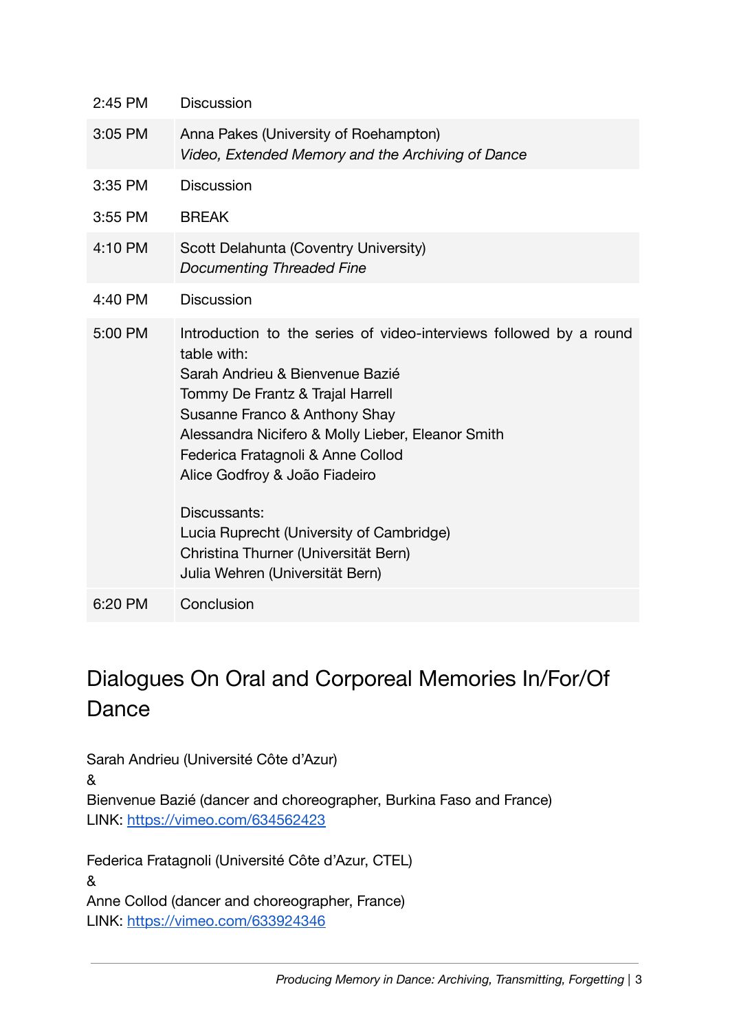| 2:45 PM | <b>Discussion</b>                                                                                                                                                                                                                                                                                                                                                                |
|---------|----------------------------------------------------------------------------------------------------------------------------------------------------------------------------------------------------------------------------------------------------------------------------------------------------------------------------------------------------------------------------------|
| 3:05 PM | Anna Pakes (University of Roehampton)<br>Video, Extended Memory and the Archiving of Dance                                                                                                                                                                                                                                                                                       |
| 3:35 PM | <b>Discussion</b>                                                                                                                                                                                                                                                                                                                                                                |
| 3:55 PM | <b>BREAK</b>                                                                                                                                                                                                                                                                                                                                                                     |
| 4:10 PM | Scott Delahunta (Coventry University)<br><b>Documenting Threaded Fine</b>                                                                                                                                                                                                                                                                                                        |
| 4:40 PM | <b>Discussion</b>                                                                                                                                                                                                                                                                                                                                                                |
| 5:00 PM | Introduction to the series of video-interviews followed by a round<br>table with:<br>Sarah Andrieu & Bienvenue Bazié<br>Tommy De Frantz & Trajal Harrell<br>Susanne Franco & Anthony Shay<br>Alessandra Nicifero & Molly Lieber, Eleanor Smith<br>Federica Fratagnoli & Anne Collod<br>Alice Godfroy & João Fiadeiro<br>Discussants:<br>Lucia Ruprecht (University of Cambridge) |
|         | Christina Thurner (Universität Bern)<br>Julia Wehren (Universität Bern)                                                                                                                                                                                                                                                                                                          |
| 6:20 PM | Conclusion                                                                                                                                                                                                                                                                                                                                                                       |

## Dialogues On Oral and Corporeal Memories In/For/Of Dance

Sarah Andrieu (Université Côte d'Azur)

&

Bienvenue Bazié (dancer and choreographer, Burkina Faso and France) LINK: <https://vimeo.com/634562423>

Federica Fratagnoli (Université Côte d'Azur, CTEL) & Anne Collod (dancer and choreographer, France) LINK: [https://vimeo.com/633924346](https://vimeo.com/manage/videos/633924346)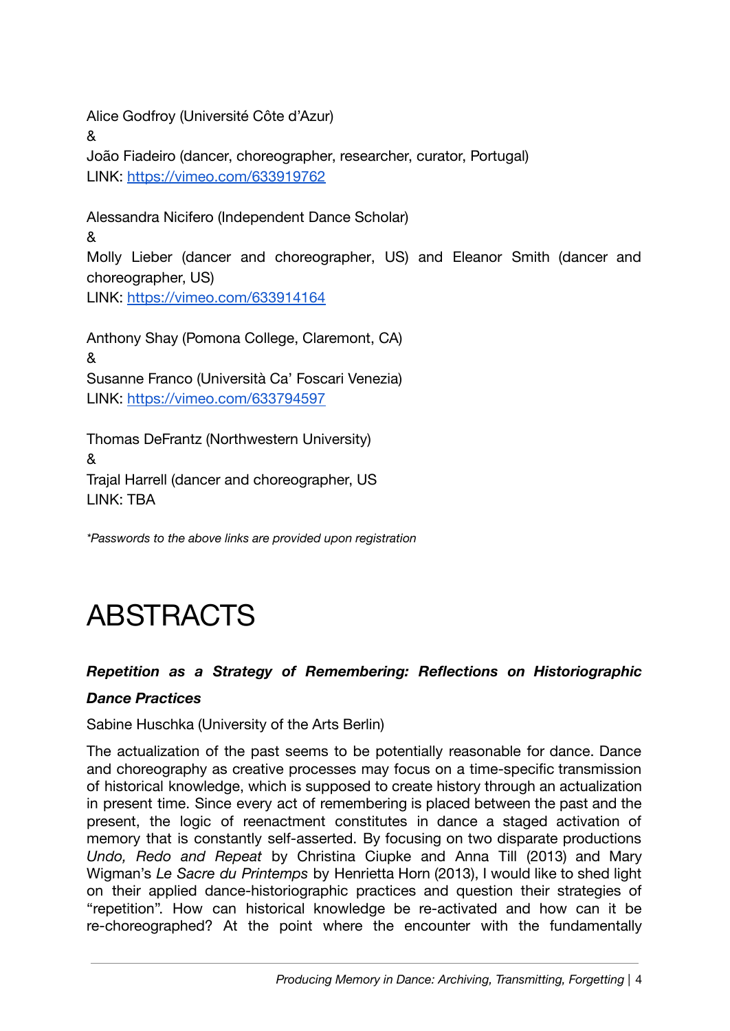Alice Godfroy (Université Côte d'Azur) & João Fiadeiro (dancer, choreographer, researcher, curator, Portugal) LINK: [https://vimeo.com/633919762](https://vimeo.com/manage/videos/633919762)

Alessandra Nicifero (Independent Dance Scholar) & Molly Lieber (dancer and choreographer, US) and Eleanor Smith (dancer and choreographer, US) LINK: <https://vimeo.com/633914164>

Anthony Shay (Pomona College, Claremont, CA) & Susanne Franco (Università Ca' Foscari Venezia) LINK: <https://vimeo.com/633794597>

Thomas DeFrantz (Northwestern University) & Trajal Harrell (dancer and choreographer, US LINK: TBA

*\*Passwords to the above links are provided upon registration*

# ABSTRACTS

### *Repetition as a Strategy of Remembering: Reflections on Historiographic*

### *Dance Practices*

Sabine Huschka (University of the Arts Berlin)

The actualization of the past seems to be potentially reasonable for dance. Dance and choreography as creative processes may focus on a time-specific transmission of historical knowledge, which is supposed to create history through an actualization in present time. Since every act of remembering is placed between the past and the present, the logic of reenactment constitutes in dance a staged activation of memory that is constantly self-asserted. By focusing on two disparate productions *Undo, Redo and Repeat* by Christina Ciupke and Anna Till (2013) and Mary Wigman's *Le Sacre du Printemps* by Henrietta Horn (2013), I would like to shed light on their applied dance-historiographic practices and question their strategies of "repetition". How can historical knowledge be re-activated and how can it be re-choreographed? At the point where the encounter with the fundamentally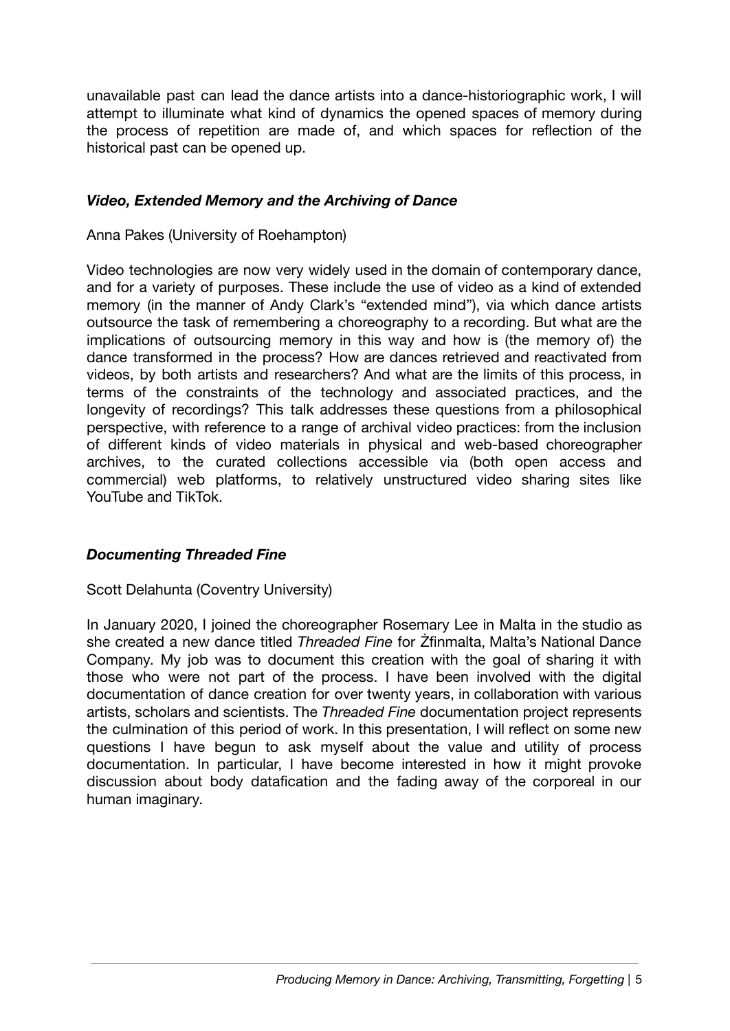unavailable past can lead the dance artists into a dance-historiographic work, I will attempt to illuminate what kind of dynamics the opened spaces of memory during the process of repetition are made of, and which spaces for reflection of the historical past can be opened up.

### *Video, Extended Memory and the Archiving of Dance*

Anna Pakes (University of Roehampton)

Video technologies are now very widely used in the domain of contemporary dance, and for a variety of purposes. These include the use of video as a kind of extended memory (in the manner of Andy Clark's "extended mind"), via which dance artists outsource the task of remembering a choreography to a recording. But what are the implications of outsourcing memory in this way and how is (the memory of) the dance transformed in the process? How are dances retrieved and reactivated from videos, by both artists and researchers? And what are the limits of this process, in terms of the constraints of the technology and associated practices, and the longevity of recordings? This talk addresses these questions from a philosophical perspective, with reference to a range of archival video practices: from the inclusion of different kinds of video materials in physical and web-based choreographer archives, to the curated collections accessible via (both open access and commercial) web platforms, to relatively unstructured video sharing sites like YouTube and TikTok.

#### *Documenting Threaded Fine*

#### Scott Delahunta (Coventry University)

In January 2020, I joined the choreographer Rosemary Lee in Malta in the studio as she created a new dance titled *Threaded Fine* for Żfinmalta, Malta's National Dance Company. My job was to document this creation with the goal of sharing it with those who were not part of the process. I have been involved with the digital documentation of dance creation for over twenty years, in collaboration with various artists, scholars and scientists. The *Threaded Fine* documentation project represents the culmination of this period of work. In this presentation, I will reflect on some new questions I have begun to ask myself about the value and utility of process documentation. In particular, I have become interested in how it might provoke discussion about body datafication and the fading away of the corporeal in our human imaginary.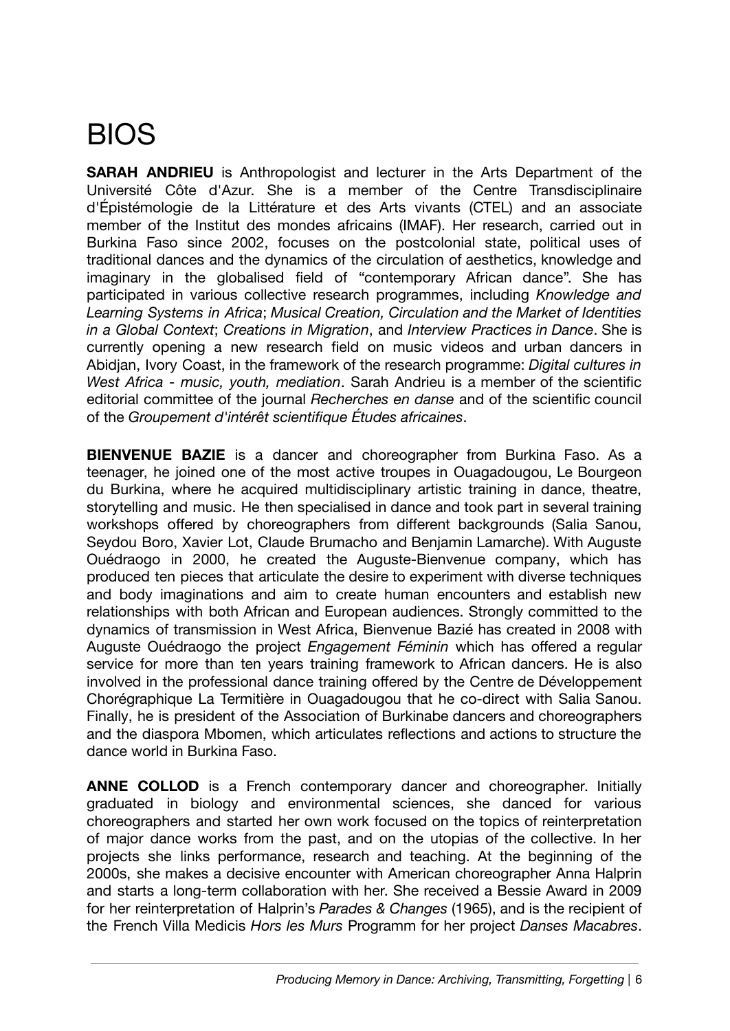# BIOS

**SARAH ANDRIEU** is Anthropologist and lecturer in the Arts Department of the Université Côte d'Azur. She is a member of the Centre Transdisciplinaire d'Épistémologie de la Littérature et des Arts vivants (CTEL) and an associate member of the Institut des mondes africains (IMAF). Her research, carried out in Burkina Faso since 2002, focuses on the postcolonial state, political uses of traditional dances and the dynamics of the circulation of aesthetics, knowledge and imaginary in the globalised field of "contemporary African dance". She has participated in various collective research programmes, including *Knowledge and Learning Systems in Africa*; *Musical Creation, Circulation and the Market of Identities in a Global Context*; *Creations in Migration*, and *Interview Practices in Dance*. She is currently opening a new research field on music videos and urban dancers in Abidjan, Ivory Coast, in the framework of the research programme: *Digital cultures in West Africa - music, youth, mediation*. Sarah Andrieu is a member of the scientific editorial committee of the journal *Recherches en danse* and of the scientific council of the *Groupement d'intérêt scientifique Études africaines*.

**BIENVENUE BAZIE** is a dancer and choreographer from Burkina Faso. As a teenager, he joined one of the most active troupes in Ouagadougou, Le Bourgeon du Burkina, where he acquired multidisciplinary artistic training in dance, theatre, storytelling and music. He then specialised in dance and took part in several training workshops offered by choreographers from different backgrounds (Salia Sanou, Seydou Boro, Xavier Lot, Claude Brumacho and Benjamin Lamarche). With Auguste Ouédraogo in 2000, he created the Auguste-Bienvenue company, which has produced ten pieces that articulate the desire to experiment with diverse techniques and body imaginations and aim to create human encounters and establish new relationships with both African and European audiences. Strongly committed to the dynamics of transmission in West Africa, Bienvenue Bazié has created in 2008 with Auguste Ouédraogo the project *Engagement Féminin* which has offered a regular service for more than ten years training framework to African dancers. He is also involved in the professional dance training offered by the Centre de Développement Chorégraphique La Termitière in Ouagadougou that he co-direct with Salia Sanou. Finally, he is president of the Association of Burkinabe dancers and choreographers and the diaspora Mbomen, which articulates reflections and actions to structure the dance world in Burkina Faso.

**ANNE COLLOD** is a French contemporary dancer and choreographer. Initially graduated in biology and environmental sciences, she danced for various choreographers and started her own work focused on the topics of reinterpretation of major dance works from the past, and on the utopias of the collective. In her projects she links performance, research and teaching. At the beginning of the 2000s, she makes a decisive encounter with American choreographer Anna Halprin and starts a long-term collaboration with her. She received a Bessie Award in 2009 for her reinterpretation of Halprin's *Parades & Changes* (1965), and is the recipient of the French Villa Medicis *Hors les Murs* Programm for her project *Danses Macabres*.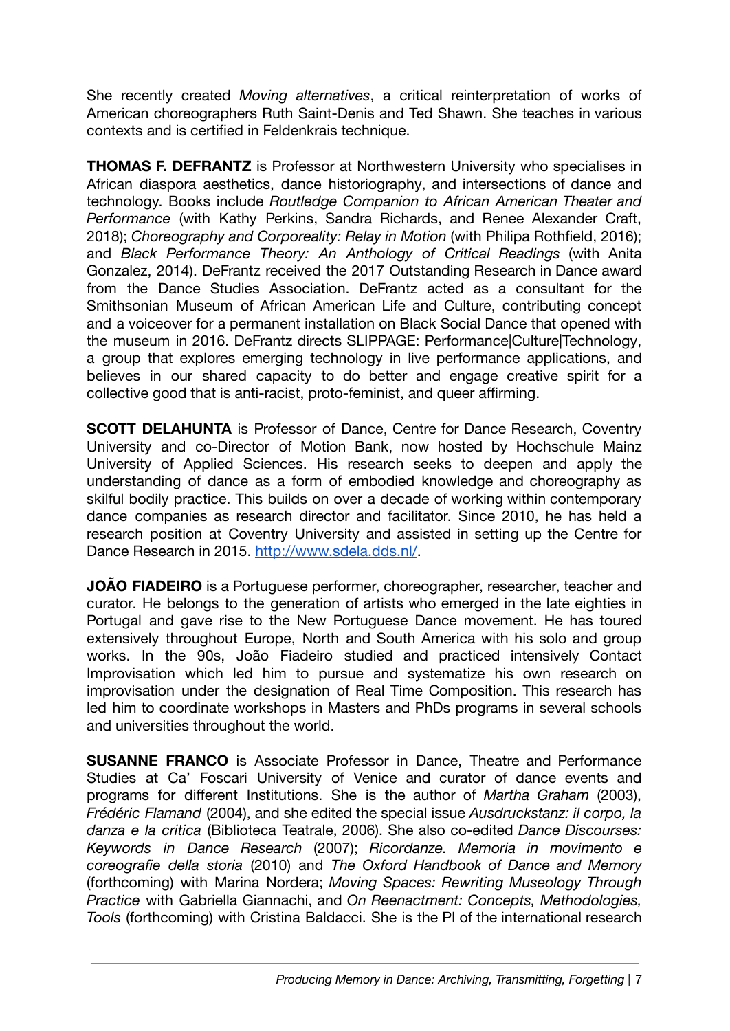She recently created *Moving alternatives*, a critical reinterpretation of works of American choreographers Ruth Saint-Denis and Ted Shawn. She teaches in various contexts and is certified in Feldenkrais technique.

**THOMAS F. DEFRANTZ** is Professor at Northwestern University who specialises in African diaspora aesthetics, dance historiography, and intersections of dance and technology. Books include *Routledge Companion to African American Theater and Performance* (with Kathy Perkins, Sandra Richards, and Renee Alexander Craft, 2018); *Choreography and Corporeality: Relay in Motion* (with Philipa Rothfield, 2016); and *Black Performance Theory: An Anthology of Critical Readings* (with Anita Gonzalez, 2014). DeFrantz received the 2017 Outstanding Research in Dance award from the Dance Studies Association. DeFrantz acted as a consultant for the Smithsonian Museum of African American Life and Culture, contributing concept and a voiceover for a permanent installation on Black Social Dance that opened with the museum in 2016. DeFrantz directs SLIPPAGE: Performance|Culture|Technology, a group that explores emerging technology in live performance applications, and believes in our shared capacity to do better and engage creative spirit for a collective good that is anti-racist, proto-feminist, and queer affirming.

**SCOTT DELAHUNTA** is Professor of Dance, Centre for Dance Research, Coventry University and co-Director of Motion Bank, now hosted by Hochschule Mainz University of Applied Sciences. His research seeks to deepen and apply the understanding of dance as a form of embodied knowledge and choreography as skilful bodily practice. This builds on over a decade of working within contemporary dance companies as research director and facilitator. Since 2010, he has held a research position at Coventry University and assisted in setting up the Centre for Dance Research in 2015. [http://www.sdela.dds.nl/.](http://www.sdela.dds.nl/)

**JOÃO FIADEIRO** is a Portuguese performer, choreographer, researcher, teacher and curator. He belongs to the generation of artists who emerged in the late eighties in Portugal and gave rise to the New Portuguese Dance movement. He has toured extensively throughout Europe, North and South America with his solo and group works. In the 90s, João Fiadeiro studied and practiced intensively Contact Improvisation which led him to pursue and systematize his own research on improvisation under the designation of Real Time Composition. This research has led him to coordinate workshops in Masters and PhDs programs in several schools and universities throughout the world.

**SUSANNE FRANCO** is Associate Professor in Dance, Theatre and Performance Studies at Ca' Foscari University of Venice and curator of dance events and programs for different Institutions. She is the author of *Martha Graham* (2003), *Frédéric Flamand* (2004), and she edited the special issue *Ausdruckstanz: il corpo, la danza e la critica* (Biblioteca Teatrale, 2006). She also co-edited *Dance Discourses: Keywords in Dance Research* (2007); *Ricordanze. Memoria in movimento e coreografie della storia* (2010) and *The Oxford Handbook of Dance and Memory* (forthcoming) with Marina Nordera; *Moving Spaces: Rewriting Museology Through Practice* with Gabriella Giannachi, and *On Reenactment: Concepts, Methodologies, Tools* (forthcoming) with Cristina Baldacci. She is the PI of the international research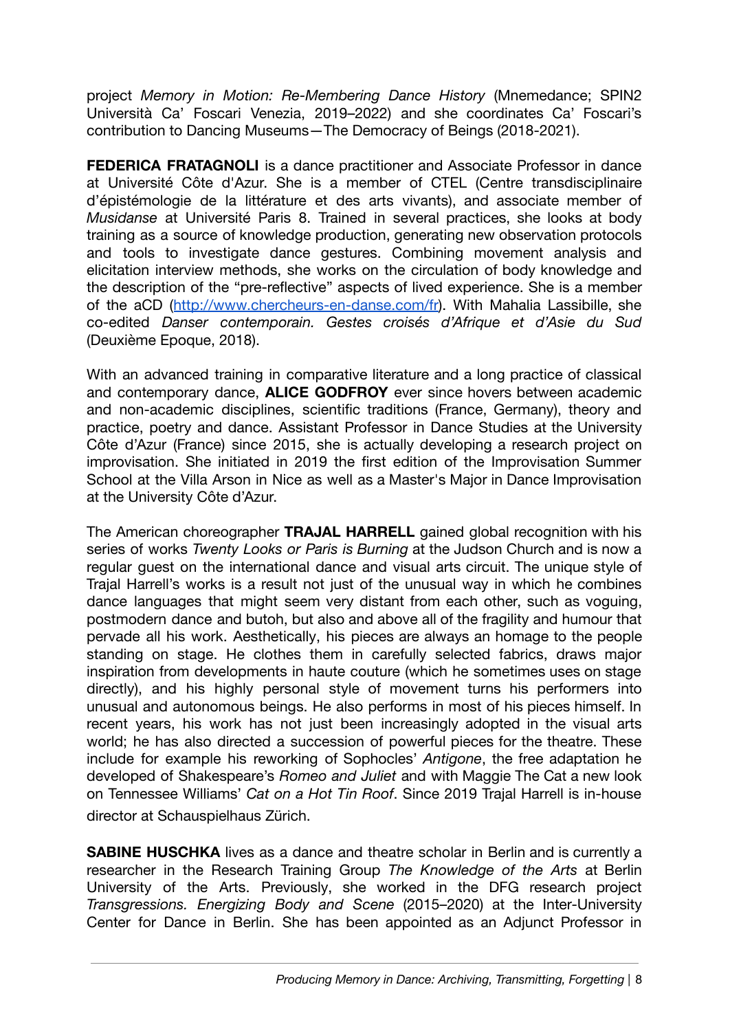project *Memory in Motion: Re-Membering Dance History* (Mnemedance; SPIN2 Università Ca' Foscari Venezia, 2019–2022) and she coordinates Ca' Foscari's contribution to Dancing Museums—The Democracy of Beings (2018-2021).

**FEDERICA FRATAGNOLI** is a dance practitioner and Associate Professor in dance at Université Côte d'Azur. She is a member of CTEL (Centre transdisciplinaire d'épistémologie de la littérature et des arts vivants), and associate member of *Musidanse* at Université Paris 8. Trained in several practices, she looks at body training as a source of knowledge production, generating new observation protocols and tools to investigate dance gestures. Combining movement analysis and elicitation interview methods, she works on the circulation of body knowledge and the description of the "pre-reflective" aspects of lived experience. She is a member of the aCD (<http://www.chercheurs-en-danse.com/fr>). With Mahalia Lassibille, she co-edited *Danser contemporain. Gestes croisés d'Afrique et d'Asie du Sud* (Deuxième Epoque, 2018).

With an advanced training in comparative literature and a long practice of classical and contemporary dance, **ALICE GODFROY** ever since hovers between academic and non-academic disciplines, scientific traditions (France, Germany), theory and practice, poetry and dance. Assistant Professor in Dance Studies at the University Côte d'Azur (France) since 2015, she is actually developing a research project on improvisation. She initiated in 2019 the first edition of the Improvisation Summer School at the Villa Arson in Nice as well as a Master's Major in Dance Improvisation at the University Côte d'Azur.

The American choreographer **TRAJAL HARRELL** gained global recognition with his series of works *Twenty Looks or Paris is Burning* at the Judson Church and is now a regular guest on the international dance and visual arts circuit. The unique style of Trajal Harrell's works is a result not just of the unusual way in which he combines dance languages that might seem very distant from each other, such as voguing, postmodern dance and butoh, but also and above all of the fragility and humour that pervade all his work. Aesthetically, his pieces are always an homage to the people standing on stage. He clothes them in carefully selected fabrics, draws major inspiration from developments in haute couture (which he sometimes uses on stage directly), and his highly personal style of movement turns his performers into unusual and autonomous beings. He also performs in most of his pieces himself. In recent years, his work has not just been increasingly adopted in the visual arts world; he has also directed a succession of powerful pieces for the theatre. These include for example his reworking of Sophocles' *Antigone*, the free adaptation he developed of Shakespeare's *Romeo and Juliet* and with Maggie The Cat a new look on Tennessee Williams' *Cat on a Hot Tin Roof*. Since 2019 Trajal Harrell is in-house director at Schauspielhaus Zürich.

**SABINE HUSCHKA** lives as a dance and theatre scholar in Berlin and is currently a researcher in the Research Training Group *The Knowledge of the Arts* at Berlin University of the Arts. Previously, she worked in the DFG research project *Transgressions. Energizing Body and Scene* (2015–2020) at the Inter-University Center for Dance in Berlin. She has been appointed as an Adjunct Professor in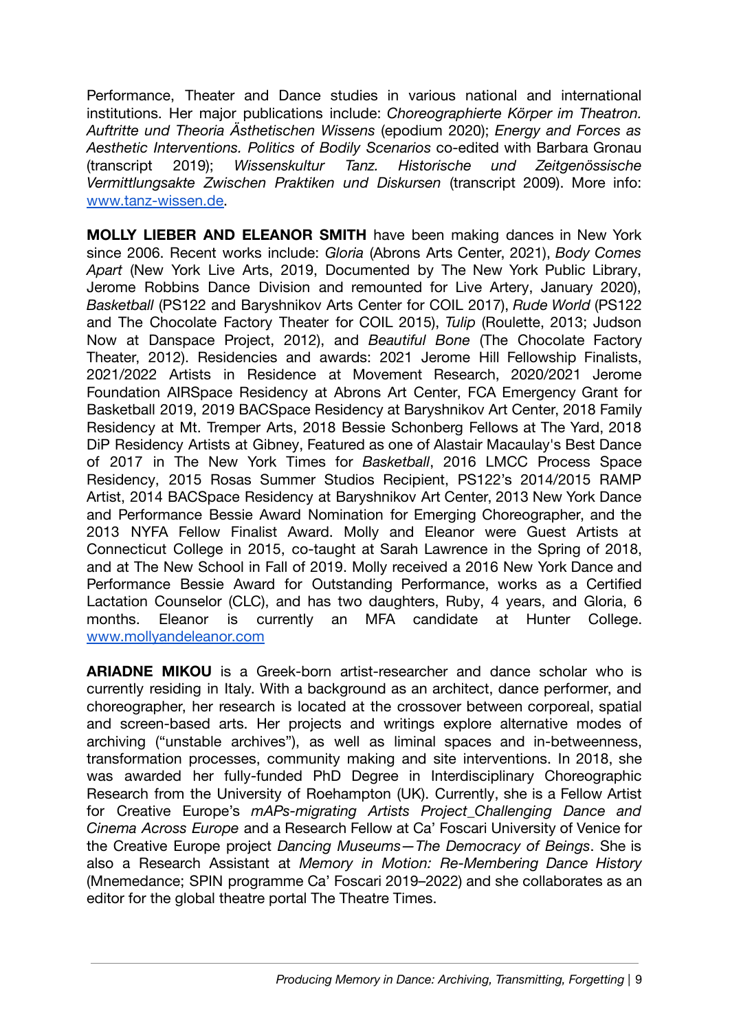Performance, Theater and Dance studies in various national and international institutions. Her major publications include: *Choreographierte Körper im Theatron. Auftritte und Theoria Ästhetischen Wissens* (epodium 2020); *Energy and Forces as Aesthetic Interventions. Politics of Bodily Scenarios* co-edited with Barbara Gronau (transcript 2019); *Wissenskultur Tanz. Historische und Zeitgenössische Vermittlungsakte Zwischen Praktiken und Diskursen* (transcript 2009). More info: [www.tanz-wissen.de.](http://www.tanz-wissen.de/)

**MOLLY LIEBER AND ELEANOR SMITH** have been making dances in New York since 2006. Recent works include: *Gloria* (Abrons Arts Center, 2021), *Body Comes Apart* (New York Live Arts, 2019, Documented by The New York Public Library, Jerome Robbins Dance Division and remounted for Live Artery, January 2020), *Basketball* (PS122 and Baryshnikov Arts Center for COIL 2017), *Rude World* (PS122 and The Chocolate Factory Theater for COIL 2015), *Tulip* (Roulette, 2013; Judson Now at Danspace Project, 2012), and *Beautiful Bone* (The Chocolate Factory Theater, 2012). Residencies and awards: 2021 Jerome Hill Fellowship Finalists, 2021/2022 Artists in Residence at Movement Research, 2020/2021 Jerome Foundation AIRSpace Residency at Abrons Art Center, FCA Emergency Grant for Basketball 2019, 2019 BACSpace Residency at Baryshnikov Art Center, 2018 Family Residency at Mt. Tremper Arts, 2018 Bessie Schonberg Fellows at The Yard, 2018 DiP Residency Artists at Gibney, Featured as one of Alastair Macaulay's Best Dance of 2017 in The New York Times for *Basketball*, 2016 LMCC Process Space Residency, 2015 Rosas Summer Studios Recipient, PS122's 2014/2015 RAMP Artist, 2014 BACSpace Residency at Baryshnikov Art Center, 2013 New York Dance and Performance Bessie Award Nomination for Emerging Choreographer, and the 2013 NYFA Fellow Finalist Award. Molly and Eleanor were Guest Artists at Connecticut College in 2015, co-taught at Sarah Lawrence in the Spring of 2018, and at The New School in Fall of 2019. Molly received a 2016 New York Dance and Performance Bessie Award for Outstanding Performance, works as a Certified Lactation Counselor (CLC), and has two daughters, Ruby, 4 years, and Gloria, 6 months. Eleanor is currently an MFA candidate at Hunter College. [www.mollyandeleanor.com](http://www.mollyandeleanor.com)

**ARIADNE MIKOU** is a Greek-born artist-researcher and dance scholar who is currently residing in Italy. With a background as an architect, dance performer, and choreographer, her research is located at the crossover between corporeal, spatial and screen-based arts. Her projects and writings explore alternative modes of archiving ("unstable archives"), as well as liminal spaces and in-betweenness, transformation processes, community making and site interventions. In 2018, she was awarded her fully-funded PhD Degree in Interdisciplinary Choreographic Research from the University of Roehampton (UK). Currently, she is a Fellow Artist for Creative Europe's *mAPs-migrating Artists Project\_Challenging Dance and Cinema Across Europe* and a Research Fellow at Ca' Foscari University of Venice for the Creative Europe project *Dancing Museums—The Democracy of Beings*. She is also a Research Assistant at *Memory in Motion: Re-Membering Dance History* (Mnemedance; SPIN programme Ca' Foscari 2019–2022) and she collaborates as an editor for the global theatre portal The Theatre Times.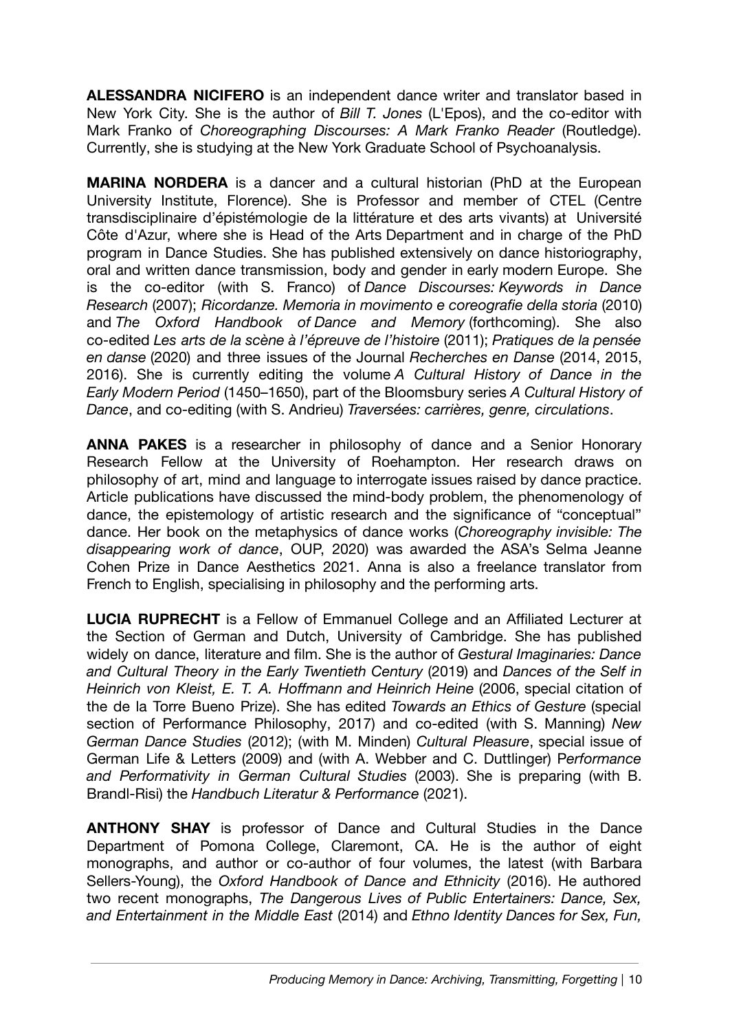**ALESSANDRA NICIFERO** is an independent dance writer and translator based in New York City. She is the author of *Bill T. Jones* (L'Epos), and the co-editor with Mark Franko of *Choreographing Discourses: A Mark Franko Reader* (Routledge). Currently, she is studying at the New York Graduate School of Psychoanalysis.

**MARINA NORDERA** is a dancer and a cultural historian (PhD at the European University Institute, Florence). She is Professor and member of CTEL (Centre transdisciplinaire d'épistémologie de la littérature et des arts vivants) at Université Côte d'Azur, where she is Head of the Arts Department and in charge of the PhD program in Dance Studies. She has published extensively on dance historiography, oral and written dance transmission, body and gender in early modern Europe. She is the co-editor (with S. Franco) of *Dance Discourses: Keywords in Dance Research* (2007); *Ricordanze. Memoria in movimento e coreografie della storia* (2010) and *The Oxford Handbook of Dance and Memory* (forthcoming). She also co-edited *Les arts de la scène à l'épreuve de l'histoire* (2011); *Pratiques de la pensée en danse* (2020) and three issues of the Journal *Recherches en Danse* (2014, 2015, 2016). She is currently editing the volume *A Cultural History of Dance in the Early Modern Period* (1450–1650), part of the Bloomsbury series *A Cultural History of Dance*, and co-editing (with S. Andrieu) *Traversées: carrières, genre, circulations*.

**ANNA PAKES** is a researcher in philosophy of dance and a Senior Honorary Research Fellow at the University of Roehampton. Her research draws on philosophy of art, mind and language to interrogate issues raised by dance practice. Article publications have discussed the mind-body problem, the phenomenology of dance, the epistemology of artistic research and the significance of "conceptual" dance. Her book on the metaphysics of dance works (*Choreography invisible: The disappearing work of dance*, OUP, 2020) was awarded the ASA's Selma Jeanne Cohen Prize in Dance Aesthetics 2021. Anna is also a freelance translator from French to English, specialising in philosophy and the performing arts.

**LUCIA RUPRECHT** is a Fellow of Emmanuel College and an Affiliated Lecturer at the Section of German and Dutch, University of Cambridge. She has published widely on dance, literature and film. She is the author of *Gestural Imaginaries: Dance and Cultural Theory in the Early Twentieth Century* (2019) and *Dances of the Self in Heinrich von Kleist, E. T. A. Hoffmann and Heinrich Heine* (2006, special citation of the de la Torre Bueno Prize). She has edited *Towards an Ethics of Gesture* (special section of Performance Philosophy, 2017) and co-edited (with S. Manning) *New German Dance Studies* (2012); (with M. Minden) *Cultural Pleasure*, special issue of German Life & Letters (2009) and (with A. Webber and C. Duttlinger) P*erformance and Performativity in German Cultural Studies* (2003). She is preparing (with B. Brandl-Risi) the *Handbuch Literatur & Performance* (2021).

**ANTHONY SHAY** is professor of Dance and Cultural Studies in the Dance Department of Pomona College, Claremont, CA. He is the author of eight monographs, and author or co-author of four volumes, the latest (with Barbara Sellers-Young), the *Oxford Handbook of Dance and Ethnicity* (2016). He authored two recent monographs, *The Dangerous Lives of Public Entertainers: Dance, Sex, and Entertainment in the Middle East* (2014) and *Ethno Identity Dances for Sex, Fun,*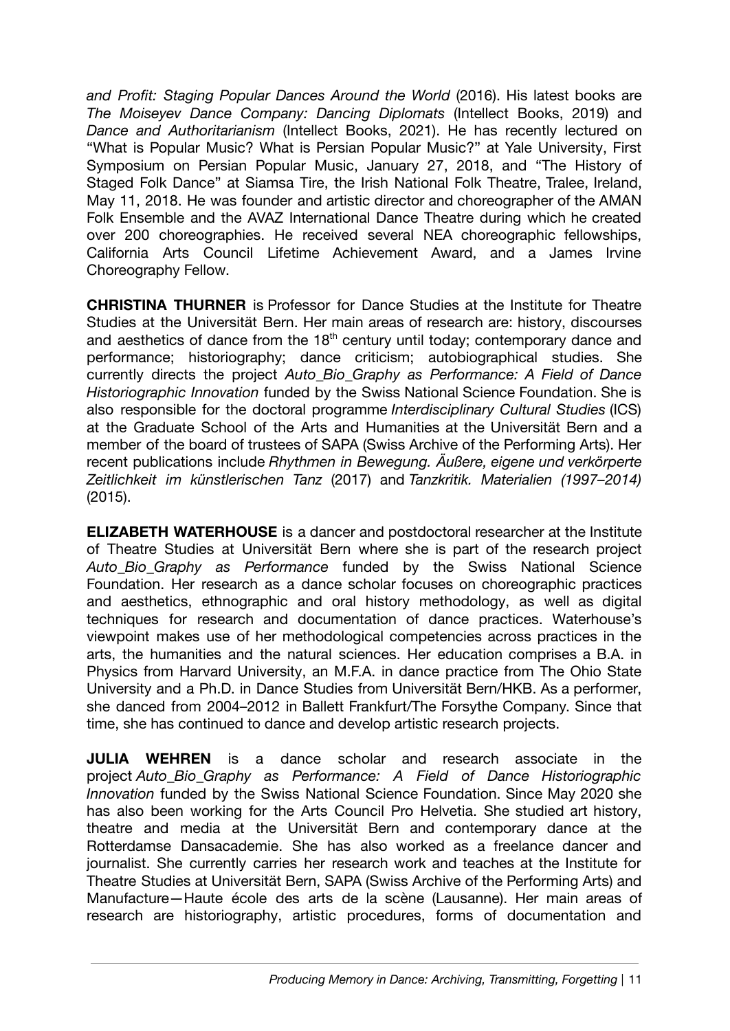*and Profit: Staging Popular Dances Around the World* (2016). His latest books are *The Moiseyev Dance Company: Dancing Diplomats* (Intellect Books, 2019) and *Dance and Authoritarianism* (Intellect Books, 2021). He has recently lectured on "What is Popular Music? What is Persian Popular Music?" at Yale University, First Symposium on Persian Popular Music, January 27, 2018, and "The History of Staged Folk Dance" at Siamsa Tire, the Irish National Folk Theatre, Tralee, Ireland, May 11, 2018. He was founder and artistic director and choreographer of the AMAN Folk Ensemble and the AVAZ International Dance Theatre during which he created over 200 choreographies. He received several NEA choreographic fellowships, California Arts Council Lifetime Achievement Award, and a James Irvine Choreography Fellow.

**CHRISTINA THURNER** is Professor for Dance Studies at the Institute for Theatre Studies at the Universität Bern. Her main areas of research are: history, discourses and aesthetics of dance from the  $18<sup>th</sup>$  century until today; contemporary dance and performance; historiography; dance criticism; autobiographical studies. She currently directs the project *Auto\_Bio\_Graphy as Performance: A Field of Dance Historiographic Innovation* funded by the Swiss National Science Foundation. She is also responsible for the doctoral programme *Interdisciplinary Cultural Studies* (ICS) at the Graduate School of the Arts and Humanities at the Universität Bern and a member of the board of trustees of SAPA (Swiss Archive of the Performing Arts). Her recent publications include *Rhythmen in Bewegung. Äußere, eigene und verkörperte Zeitlichkeit im künstlerischen Tanz* (2017) and *Tanzkritik. Materialien (1997–2014)* (2015).

**ELIZABETH WATERHOUSE** is a dancer and postdoctoral researcher at the Institute of Theatre Studies at Universität Bern where she is part of the research project *Auto\_Bio\_Graphy as Performance* funded by the Swiss National Science Foundation. Her research as a dance scholar focuses on choreographic practices and aesthetics, ethnographic and oral history methodology, as well as digital techniques for research and documentation of dance practices. Waterhouse's viewpoint makes use of her methodological competencies across practices in the arts, the humanities and the natural sciences. Her education comprises a B.A. in Physics from Harvard University, an M.F.A. in dance practice from The Ohio State University and a Ph.D. in Dance Studies from Universität Bern/HKB. As a performer, she danced from 2004–2012 in Ballett Frankfurt/The Forsythe Company. Since that time, she has continued to dance and develop artistic research projects.

**JULIA WEHREN** is a dance scholar and research associate in the project *Auto\_Bio\_Graphy as Performance: A Field of Dance Historiographic Innovation* funded by the Swiss National Science Foundation. Since May 2020 she has also been working for the Arts Council Pro Helvetia. She studied art history, theatre and media at the Universität Bern and contemporary dance at the Rotterdamse Dansacademie. She has also worked as a freelance dancer and journalist. She currently carries her research work and teaches at the Institute for Theatre Studies at Universität Bern, SAPA (Swiss Archive of the Performing Arts) and Manufacture—Haute école des arts de la scène (Lausanne). Her main areas of research are historiography, artistic procedures, forms of documentation and